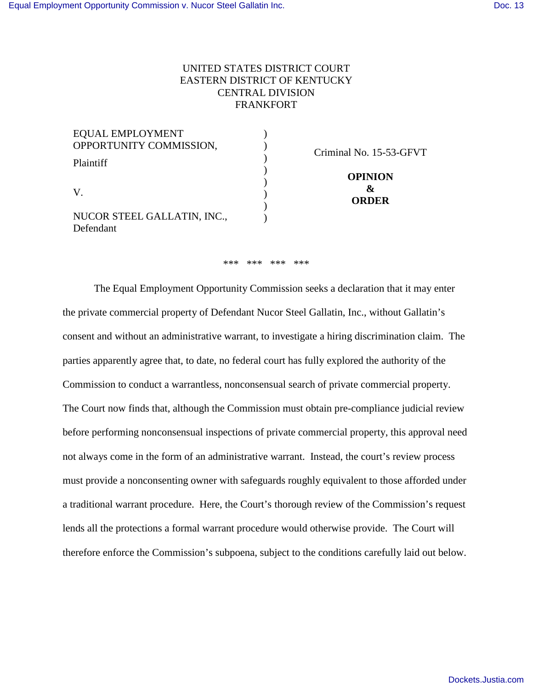# UNITED STATES DISTRICT COURT EASTERN DISTRICT OF KENTUCKY CENTRAL DIVISION FRANKFORT

| <b>EQUAL EMPLOYMENT</b>          |                                      |
|----------------------------------|--------------------------------------|
| OPPORTUNITY COMMISSION,          | Criminal No. 15-53-GFVT              |
| Plaintiff                        |                                      |
| V<br>NUCOR STEEL GALLATIN, INC., | <b>OPINION</b><br>8z<br><b>ORDER</b> |
| Defendant                        |                                      |

#### \*\*\* \*\*\* \*\*\* \*\*\*

 The Equal Employment Opportunity Commission seeks a declaration that it may enter the private commercial property of Defendant Nucor Steel Gallatin, Inc., without Gallatin's consent and without an administrative warrant, to investigate a hiring discrimination claim. The parties apparently agree that, to date, no federal court has fully explored the authority of the Commission to conduct a warrantless, nonconsensual search of private commercial property. The Court now finds that, although the Commission must obtain pre-compliance judicial review before performing nonconsensual inspections of private commercial property, this approval need not always come in the form of an administrative warrant. Instead, the court's review process must provide a nonconsenting owner with safeguards roughly equivalent to those afforded under a traditional warrant procedure. Here, the Court's thorough review of the Commission's request lends all the protections a formal warrant procedure would otherwise provide. The Court will therefore enforce the Commission's subpoena, subject to the conditions carefully laid out below.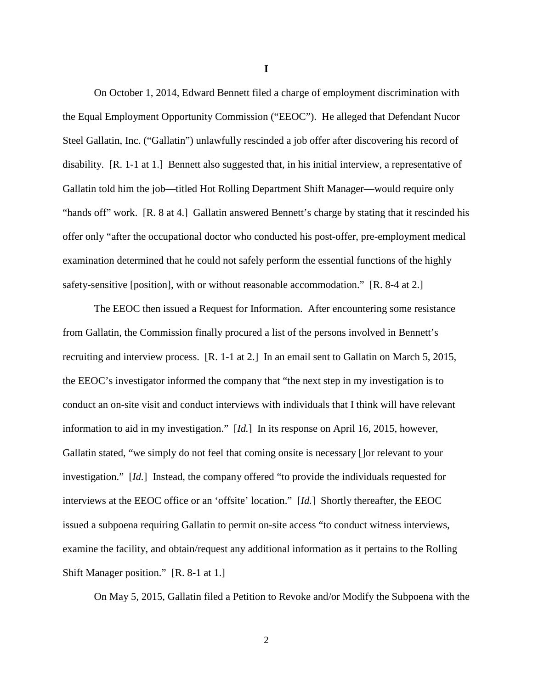On October 1, 2014, Edward Bennett filed a charge of employment discrimination with the Equal Employment Opportunity Commission ("EEOC"). He alleged that Defendant Nucor Steel Gallatin, Inc. ("Gallatin") unlawfully rescinded a job offer after discovering his record of disability. [R. 1-1 at 1.] Bennett also suggested that, in his initial interview, a representative of Gallatin told him the job—titled Hot Rolling Department Shift Manager—would require only "hands off" work. [R. 8 at 4.] Gallatin answered Bennett's charge by stating that it rescinded his offer only "after the occupational doctor who conducted his post-offer, pre-employment medical examination determined that he could not safely perform the essential functions of the highly safety-sensitive [position], with or without reasonable accommodation." [R. 8-4 at 2.]

The EEOC then issued a Request for Information. After encountering some resistance from Gallatin, the Commission finally procured a list of the persons involved in Bennett's recruiting and interview process. [R. 1-1 at 2.] In an email sent to Gallatin on March 5, 2015, the EEOC's investigator informed the company that "the next step in my investigation is to conduct an on-site visit and conduct interviews with individuals that I think will have relevant information to aid in my investigation." [*Id.*] In its response on April 16, 2015, however, Gallatin stated, "we simply do not feel that coming onsite is necessary []or relevant to your investigation." [*Id.*] Instead, the company offered "to provide the individuals requested for interviews at the EEOC office or an 'offsite' location." [*Id.*] Shortly thereafter, the EEOC issued a subpoena requiring Gallatin to permit on-site access "to conduct witness interviews, examine the facility, and obtain/request any additional information as it pertains to the Rolling Shift Manager position." [R. 8-1 at 1.]

On May 5, 2015, Gallatin filed a Petition to Revoke and/or Modify the Subpoena with the

**I**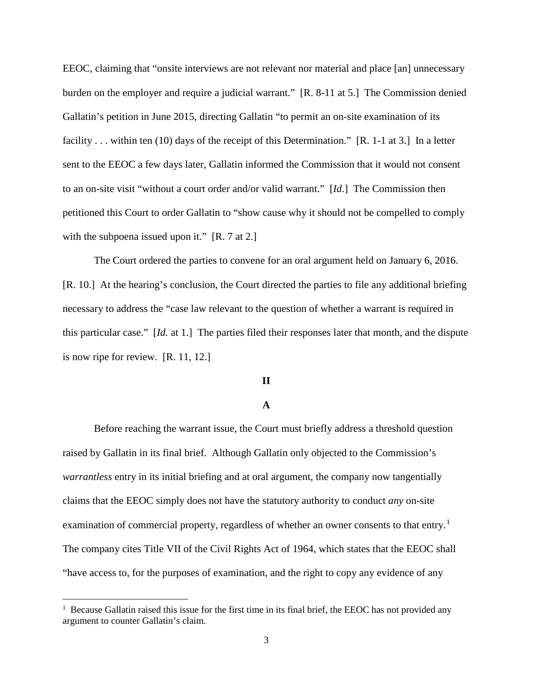EEOC, claiming that "onsite interviews are not relevant nor material and place [an] unnecessary burden on the employer and require a judicial warrant." [R. 8-11 at 5.] The Commission denied Gallatin's petition in June 2015, directing Gallatin "to permit an on-site examination of its facility . . . within ten (10) days of the receipt of this Determination." [R. 1-1 at 3.] In a letter sent to the EEOC a few days later, Gallatin informed the Commission that it would not consent to an on-site visit "without a court order and/or valid warrant." [*Id*.] The Commission then petitioned this Court to order Gallatin to "show cause why it should not be compelled to comply with the subpoena issued upon it." [R. 7 at 2.]

The Court ordered the parties to convene for an oral argument held on January 6, 2016. [R. 10.] At the hearing's conclusion, the Court directed the parties to file any additional briefing necessary to address the "case law relevant to the question of whether a warrant is required in this particular case." [*Id.* at 1.] The parties filed their responses later that month, and the dispute is now ripe for review. [R. 11, 12.]

#### **II**

# **A**

Before reaching the warrant issue, the Court must briefly address a threshold question raised by Gallatin in its final brief. Although Gallatin only objected to the Commission's *warrantless* entry in its initial briefing and at oral argument, the company now tangentially claims that the EEOC simply does not have the statutory authority to conduct *any* on-site examination of commercial property, regardless of whether an owner consents to that entry.<sup>[1](#page-2-0)</sup> The company cites Title VII of the Civil Rights Act of 1964, which states that the EEOC shall "have access to, for the purposes of examination, and the right to copy any evidence of any

<u>.</u>

<span id="page-2-0"></span><sup>&</sup>lt;sup>1</sup> Because Gallatin raised this issue for the first time in its final brief, the EEOC has not provided any argument to counter Gallatin's claim.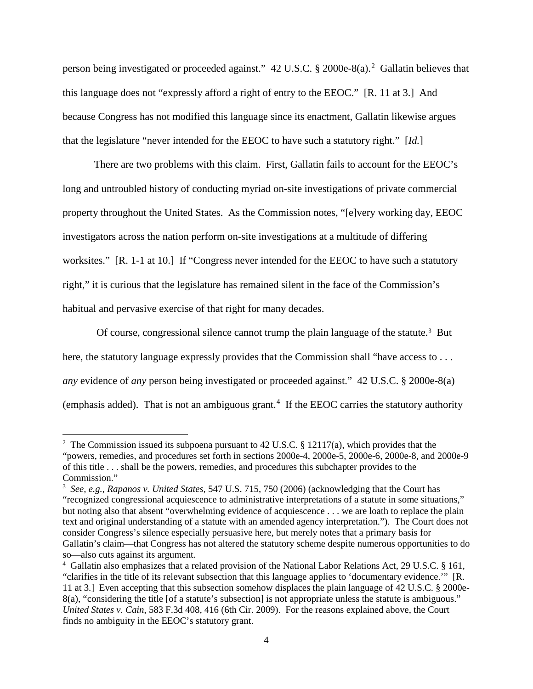person being investigated or proceeded against." 4[2](#page-3-0) U.S.C. § 2000e-8(a).<sup>2</sup> Gallatin believes that this language does not "expressly afford a right of entry to the EEOC." [R. 11 at 3.] And because Congress has not modified this language since its enactment, Gallatin likewise argues that the legislature "never intended for the EEOC to have such a statutory right." [*Id.*]

There are two problems with this claim. First, Gallatin fails to account for the EEOC's long and untroubled history of conducting myriad on-site investigations of private commercial property throughout the United States. As the Commission notes, "[e]very working day, EEOC investigators across the nation perform on-site investigations at a multitude of differing worksites." [R. 1-1 at 10.] If "Congress never intended for the EEOC to have such a statutory right," it is curious that the legislature has remained silent in the face of the Commission's habitual and pervasive exercise of that right for many decades.

Of course, congressional silence cannot trump the plain language of the statute.<sup>[3](#page-3-1)</sup> But here, the statutory language expressly provides that the Commission shall "have access to . . . *any* evidence of *any* person being investigated or proceeded against." 42 U.S.C. § 2000e-8(a)  $(emphasis added)$ . That is not an ambiguous grant.<sup>[4](#page-3-2)</sup> If the EEOC carries the statutory authority

<u>.</u>

<span id="page-3-0"></span><sup>&</sup>lt;sup>2</sup> The Commission issued its subpoena pursuant to 42 U.S.C. § 12117(a), which provides that the "powers, remedies, and procedures set forth in sections 2000e-4, 2000e-5, 2000e-6, 2000e-8, and 2000e-9 of this title . . . shall be the powers, remedies, and procedures this subchapter provides to the Commission."

<span id="page-3-1"></span><sup>3</sup> *See, e.g., Rapanos v. United States,* 547 U.S. 715, 750 (2006) (acknowledging that the Court has "recognized congressional acquiescence to administrative interpretations of a statute in some situations," but noting also that absent "overwhelming evidence of acquiescence . . . we are loath to replace the plain text and original understanding of a statute with an amended agency interpretation."). The Court does not consider Congress's silence especially persuasive here, but merely notes that a primary basis for Gallatin's claim—that Congress has not altered the statutory scheme despite numerous opportunities to do so—also cuts against its argument.

<span id="page-3-2"></span><sup>4</sup> Gallatin also emphasizes that a related provision of the National Labor Relations Act, 29 U.S.C. § 161, "clarifies in the title of its relevant subsection that this language applies to 'documentary evidence.'" [R. 11 at 3.] Even accepting that this subsection somehow displaces the plain language of 42 U.S.C. § 2000e-8(a), "considering the title [of a statute's subsection] is not appropriate unless the statute is ambiguous." *United States v. Cain*, 583 F.3d 408, 416 (6th Cir. 2009). For the reasons explained above, the Court finds no ambiguity in the EEOC's statutory grant.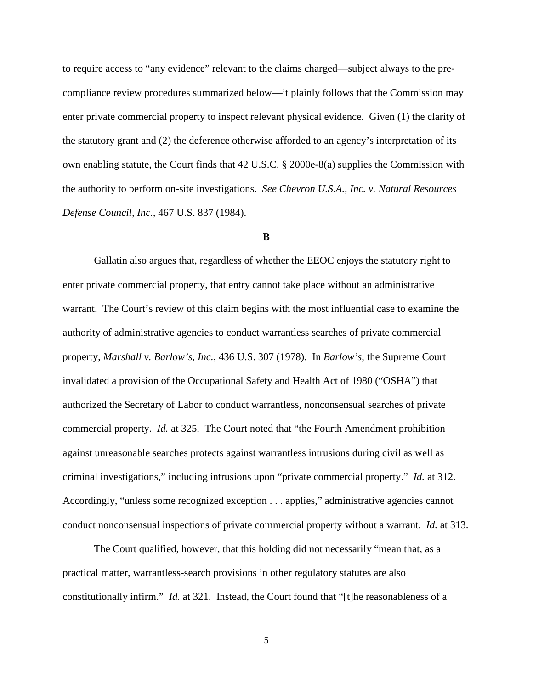to require access to "any evidence" relevant to the claims charged—subject always to the precompliance review procedures summarized below—it plainly follows that the Commission may enter private commercial property to inspect relevant physical evidence. Given (1) the clarity of the statutory grant and (2) the deference otherwise afforded to an agency's interpretation of its own enabling statute, the Court finds that 42 U.S.C. § 2000e-8(a) supplies the Commission with the authority to perform on-site investigations. *See Chevron U.S.A., Inc. v. Natural Resources Defense Council, Inc.,* 467 U.S. 837 (1984).

# **B**

Gallatin also argues that, regardless of whether the EEOC enjoys the statutory right to enter private commercial property, that entry cannot take place without an administrative warrant. The Court's review of this claim begins with the most influential case to examine the authority of administrative agencies to conduct warrantless searches of private commercial property, *Marshall v. Barlow's, Inc.*, 436 U.S. 307 (1978). In *Barlow's*, the Supreme Court invalidated a provision of the Occupational Safety and Health Act of 1980 ("OSHA") that authorized the Secretary of Labor to conduct warrantless, nonconsensual searches of private commercial property. *Id.* at 325. The Court noted that "the Fourth Amendment prohibition against unreasonable searches protects against warrantless intrusions during civil as well as criminal investigations," including intrusions upon "private commercial property." *Id.* at 312. Accordingly, "unless some recognized exception . . . applies," administrative agencies cannot conduct nonconsensual inspections of private commercial property without a warrant. *Id.* at 313.

The Court qualified, however, that this holding did not necessarily "mean that, as a practical matter, warrantless-search provisions in other regulatory statutes are also constitutionally infirm." *Id.* at 321. Instead, the Court found that "[t]he reasonableness of a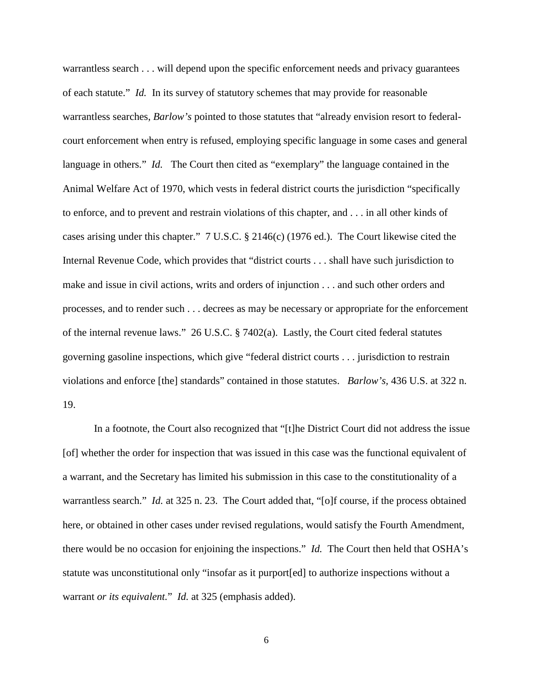warrantless search . . . will depend upon the specific enforcement needs and privacy guarantees of each statute." *Id.* In its survey of statutory schemes that may provide for reasonable warrantless searches, *Barlow's* pointed to those statutes that "already envision resort to federalcourt enforcement when entry is refused, employing specific language in some cases and general language in others." *Id.* The Court then cited as "exemplary" the language contained in the Animal Welfare Act of 1970, which vests in federal district courts the jurisdiction "specifically to enforce, and to prevent and restrain violations of this chapter, and . . . in all other kinds of cases arising under this chapter." 7 U.S.C. § 2146(c) (1976 ed.). The Court likewise cited the Internal Revenue Code, which provides that "district courts . . . shall have such jurisdiction to make and issue in civil actions, writs and orders of injunction . . . and such other orders and processes, and to render such . . . decrees as may be necessary or appropriate for the enforcement of the internal revenue laws." 26 U.S.C. § 7402(a). Lastly, the Court cited federal statutes governing gasoline inspections, which give "federal district courts . . . jurisdiction to restrain violations and enforce [the] standards" contained in those statutes. *Barlow's,* 436 U.S. at 322 n. 19.

In a footnote, the Court also recognized that "[t]he District Court did not address the issue [of] whether the order for inspection that was issued in this case was the functional equivalent of a warrant, and the Secretary has limited his submission in this case to the constitutionality of a warrantless search." *Id.* at 325 n. 23. The Court added that, "[o]f course, if the process obtained here, or obtained in other cases under revised regulations, would satisfy the Fourth Amendment, there would be no occasion for enjoining the inspections." *Id.* The Court then held that OSHA's statute was unconstitutional only "insofar as it purport[ed] to authorize inspections without a warrant *or its equivalent.*" *Id.* at 325 (emphasis added).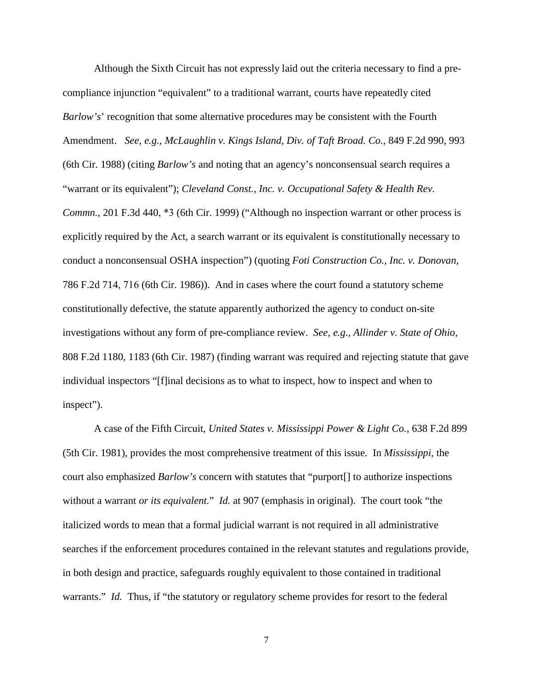Although the Sixth Circuit has not expressly laid out the criteria necessary to find a precompliance injunction "equivalent" to a traditional warrant, courts have repeatedly cited *Barlow's'* recognition that some alternative procedures may be consistent with the Fourth Amendment. *See, e.g., McLaughlin v. Kings Island, Div. of Taft Broad. Co.,* 849 F.2d 990, 993 (6th Cir. 1988) (citing *Barlow's* and noting that an agency's nonconsensual search requires a "warrant or its equivalent"); *Cleveland Const., Inc. v. Occupational Safety & Health Rev. Commn.,* 201 F.3d 440, \*3 (6th Cir. 1999) ("Although no inspection warrant or other process is explicitly required by the Act, a search warrant or its equivalent is constitutionally necessary to conduct a nonconsensual OSHA inspection") (quoting *Foti Construction Co., Inc. v. Donovan,* 786 F.2d 714, 716 (6th Cir. 1986)). And in cases where the court found a statutory scheme constitutionally defective, the statute apparently authorized the agency to conduct on-site investigations without any form of pre-compliance review. *See, e.g., Allinder v. State of Ohio*, 808 F.2d 1180, 1183 (6th Cir. 1987) (finding warrant was required and rejecting statute that gave individual inspectors "[f]inal decisions as to what to inspect, how to inspect and when to inspect").

A case of the Fifth Circuit, *United States v. Mississippi Power & Light Co.*, 638 F.2d 899 (5th Cir. 1981), provides the most comprehensive treatment of this issue. In *Mississippi*, the court also emphasized *Barlow's* concern with statutes that "purport[] to authorize inspections without a warrant *or its equivalent.*" *Id.* at 907 (emphasis in original). The court took "the italicized words to mean that a formal judicial warrant is not required in all administrative searches if the enforcement procedures contained in the relevant statutes and regulations provide, in both design and practice, safeguards roughly equivalent to those contained in traditional warrants." *Id.* Thus, if "the statutory or regulatory scheme provides for resort to the federal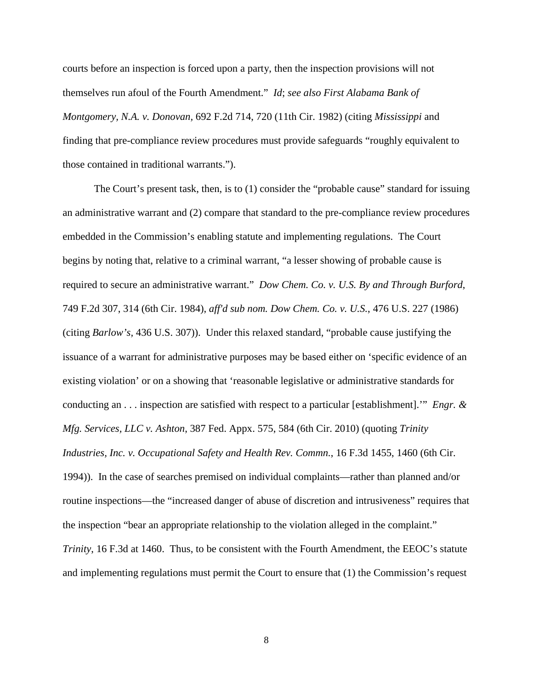courts before an inspection is forced upon a party, then the inspection provisions will not themselves run afoul of the Fourth Amendment." *Id*; *see also First Alabama Bank of Montgomery, N.A. v. Donovan,* 692 F.2d 714, 720 (11th Cir. 1982) (citing *Mississippi* and finding that pre-compliance review procedures must provide safeguards "roughly equivalent to those contained in traditional warrants.").

The Court's present task, then, is to (1) consider the "probable cause" standard for issuing an administrative warrant and (2) compare that standard to the pre-compliance review procedures embedded in the Commission's enabling statute and implementing regulations. The Court begins by noting that, relative to a criminal warrant, "a lesser showing of probable cause is required to secure an administrative warrant." *Dow Chem. Co. v. U.S. By and Through Burford*, 749 F.2d 307, 314 (6th Cir. 1984), *aff'd sub nom. Dow Chem. Co. v. U.S.*, 476 U.S. 227 (1986) (citing *Barlow's,* 436 U.S. 307)). Under this relaxed standard, "probable cause justifying the issuance of a warrant for administrative purposes may be based either on 'specific evidence of an existing violation' or on a showing that 'reasonable legislative or administrative standards for conducting an . . . inspection are satisfied with respect to a particular [establishment].'" *Engr. & Mfg. Services, LLC v. Ashton*, 387 Fed. Appx. 575, 584 (6th Cir. 2010) (quoting *Trinity Industries, Inc. v. Occupational Safety and Health Rev. Commn.*, 16 F.3d 1455, 1460 (6th Cir. 1994)). In the case of searches premised on individual complaints—rather than planned and/or routine inspections—the "increased danger of abuse of discretion and intrusiveness" requires that the inspection "bear an appropriate relationship to the violation alleged in the complaint." *Trinity*, 16 F.3d at 1460. Thus, to be consistent with the Fourth Amendment, the EEOC's statute and implementing regulations must permit the Court to ensure that (1) the Commission's request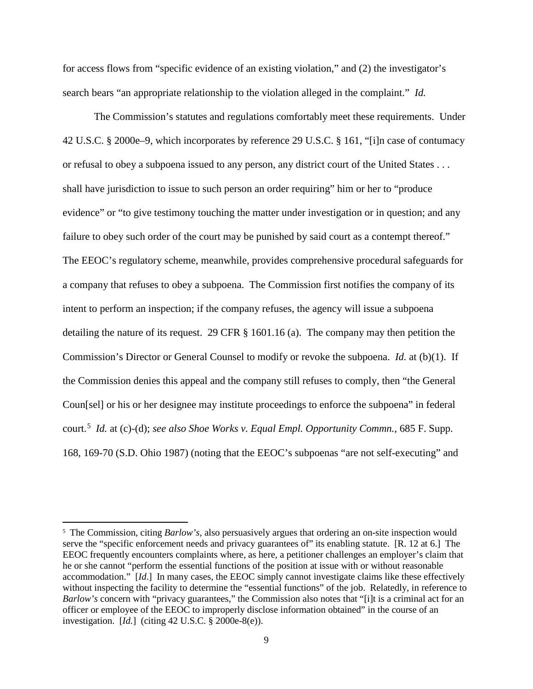for access flows from "specific evidence of an existing violation," and (2) the investigator's search bears "an appropriate relationship to the violation alleged in the complaint." *Id.* 

The Commission's statutes and regulations comfortably meet these requirements. Under 42 U.S.C. § 2000e–9, which incorporates by reference 29 U.S.C. § 161, "[i]n case of contumacy or refusal to obey a subpoena issued to any person, any district court of the United States . . . shall have jurisdiction to issue to such person an order requiring" him or her to "produce evidence" or "to give testimony touching the matter under investigation or in question; and any failure to obey such order of the court may be punished by said court as a contempt thereof." The EEOC's regulatory scheme, meanwhile, provides comprehensive procedural safeguards for a company that refuses to obey a subpoena. The Commission first notifies the company of its intent to perform an inspection; if the company refuses, the agency will issue a subpoena detailing the nature of its request. 29 CFR § 1601.16 (a). The company may then petition the Commission's Director or General Counsel to modify or revoke the subpoena. *Id.* at (b)(1). If the Commission denies this appeal and the company still refuses to comply, then "the General Coun[sel] or his or her designee may institute proceedings to enforce the subpoena" in federal court.[5](#page-8-0) *Id.* at (c)-(d); *see also Shoe Works v. Equal Empl. Opportunity Commn.*, 685 F. Supp. 168, 169-70 (S.D. Ohio 1987) (noting that the EEOC's subpoenas "are not self-executing" and

 $\overline{a}$ 

<span id="page-8-0"></span><sup>&</sup>lt;sup>5</sup> The Commission, citing *Barlow's*, also persuasively argues that ordering an on-site inspection would serve the "specific enforcement needs and privacy guarantees of" its enabling statute. [R. 12 at 6.] The EEOC frequently encounters complaints where, as here, a petitioner challenges an employer's claim that he or she cannot "perform the essential functions of the position at issue with or without reasonable accommodation." [*Id*.] In many cases, the EEOC simply cannot investigate claims like these effectively without inspecting the facility to determine the "essential functions" of the job. Relatedly, in reference to *Barlow's* concern with "privacy guarantees," the Commission also notes that "[i]t is a criminal act for an officer or employee of the EEOC to improperly disclose information obtained" in the course of an investigation. [*Id.*] (citing 42 U.S.C. § 2000e-8(e)).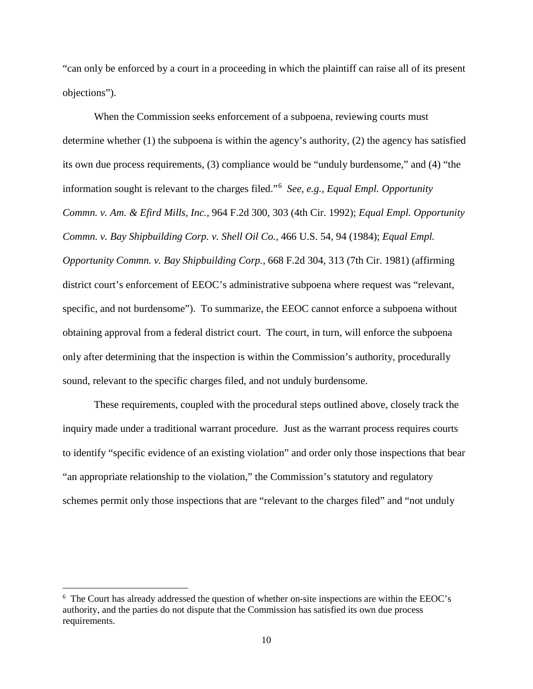"can only be enforced by a court in a proceeding in which the plaintiff can raise all of its present objections").

When the Commission seeks enforcement of a subpoena, reviewing courts must determine whether  $(1)$  the subpoena is within the agency's authority,  $(2)$  the agency has satisfied its own due process requirements, (3) compliance would be "unduly burdensome," and (4) "the information sought is relevant to the charges filed."[6](#page-9-0) *See, e.g., Equal Empl. Opportunity Commn. v. Am. & Efird Mills, Inc.,* 964 F.2d 300, 303 (4th Cir. 1992); *Equal Empl. Opportunity Commn. v. Bay Shipbuilding Corp. v. Shell Oil Co.,* 466 U.S. 54, 94 (1984); *Equal Empl. Opportunity Commn. v. Bay Shipbuilding Corp.*, 668 F.2d 304, 313 (7th Cir. 1981) (affirming district court's enforcement of EEOC's administrative subpoena where request was "relevant, specific, and not burdensome"). To summarize, the EEOC cannot enforce a subpoena without obtaining approval from a federal district court. The court, in turn, will enforce the subpoena only after determining that the inspection is within the Commission's authority, procedurally sound, relevant to the specific charges filed, and not unduly burdensome.

These requirements, coupled with the procedural steps outlined above, closely track the inquiry made under a traditional warrant procedure. Just as the warrant process requires courts to identify "specific evidence of an existing violation" and order only those inspections that bear "an appropriate relationship to the violation," the Commission's statutory and regulatory schemes permit only those inspections that are "relevant to the charges filed" and "not unduly

<span id="page-9-0"></span><sup>&</sup>lt;sup>6</sup> The Court has already addressed the question of whether on-site inspections are within the EEOC's authority, and the parties do not dispute that the Commission has satisfied its own due process requirements.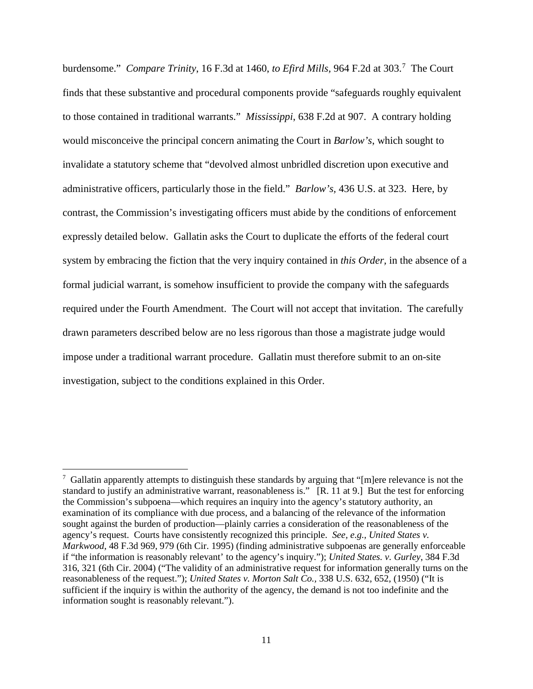burdensome." *Compare Trinity*, 16 F.3d at 1460, *to Efird Mills,* 964 F.2d at 303.[7](#page-10-0) The Court finds that these substantive and procedural components provide "safeguards roughly equivalent to those contained in traditional warrants." *Mississippi*, 638 F.2d at 907. A contrary holding would misconceive the principal concern animating the Court in *Barlow's*, which sought to invalidate a statutory scheme that "devolved almost unbridled discretion upon executive and administrative officers, particularly those in the field." *Barlow's,* 436 U.S. at 323. Here, by contrast, the Commission's investigating officers must abide by the conditions of enforcement expressly detailed below. Gallatin asks the Court to duplicate the efforts of the federal court system by embracing the fiction that the very inquiry contained in *this Order,* in the absence of a formal judicial warrant, is somehow insufficient to provide the company with the safeguards required under the Fourth Amendment. The Court will not accept that invitation. The carefully drawn parameters described below are no less rigorous than those a magistrate judge would impose under a traditional warrant procedure. Gallatin must therefore submit to an on-site investigation, subject to the conditions explained in this Order.

<u>.</u>

<span id="page-10-0"></span><sup>&</sup>lt;sup>7</sup> Gallatin apparently attempts to distinguish these standards by arguing that "[m]ere relevance is not the standard to justify an administrative warrant, reasonableness is." [R. 11 at 9.] But the test for enforcing the Commission's subpoena—which requires an inquiry into the agency's statutory authority, an examination of its compliance with due process, and a balancing of the relevance of the information sought against the burden of production—plainly carries a consideration of the reasonableness of the agency's request. Courts have consistently recognized this principle. *See, e.g., United States v. Markwood*, 48 F.3d 969, 979 (6th Cir. 1995) (finding administrative subpoenas are generally enforceable if "the information is reasonably relevant' to the agency's inquiry."); *United States. v. Gurley*, 384 F.3d 316, 321 (6th Cir. 2004) ("The validity of an administrative request for information generally turns on the reasonableness of the request."); *United States v. Morton Salt Co.,* 338 U.S. 632, 652, (1950) ("It is sufficient if the inquiry is within the authority of the agency, the demand is not too indefinite and the information sought is reasonably relevant.").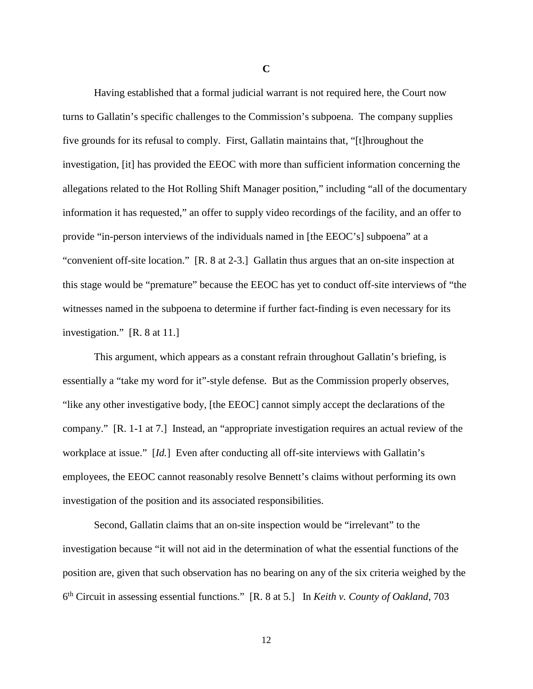Having established that a formal judicial warrant is not required here, the Court now turns to Gallatin's specific challenges to the Commission's subpoena. The company supplies five grounds for its refusal to comply. First, Gallatin maintains that, "[t]hroughout the investigation, [it] has provided the EEOC with more than sufficient information concerning the allegations related to the Hot Rolling Shift Manager position," including "all of the documentary information it has requested," an offer to supply video recordings of the facility, and an offer to provide "in-person interviews of the individuals named in [the EEOC's] subpoena" at a "convenient off-site location." [R. 8 at 2-3.] Gallatin thus argues that an on-site inspection at this stage would be "premature" because the EEOC has yet to conduct off-site interviews of "the witnesses named in the subpoena to determine if further fact-finding is even necessary for its investigation." [R. 8 at 11.]

 This argument, which appears as a constant refrain throughout Gallatin's briefing, is essentially a "take my word for it"-style defense. But as the Commission properly observes, "like any other investigative body, [the EEOC] cannot simply accept the declarations of the company." [R. 1-1 at 7.] Instead, an "appropriate investigation requires an actual review of the workplace at issue." [*Id.*] Even after conducting all off-site interviews with Gallatin's employees, the EEOC cannot reasonably resolve Bennett's claims without performing its own investigation of the position and its associated responsibilities.

 Second, Gallatin claims that an on-site inspection would be "irrelevant" to the investigation because "it will not aid in the determination of what the essential functions of the position are, given that such observation has no bearing on any of the six criteria weighed by the 6 th Circuit in assessing essential functions." [R. 8 at 5.] In *Keith v. County of Oakland*, 703

**C**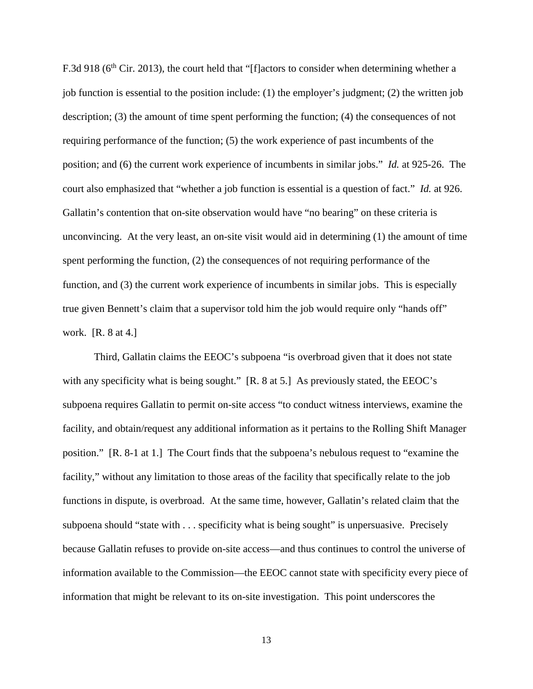F.3d 918 (6<sup>th</sup> Cir. 2013), the court held that "[f] actors to consider when determining whether a job function is essential to the position include: (1) the employer's judgment; (2) the written job description; (3) the amount of time spent performing the function; (4) the consequences of not requiring performance of the function; (5) the work experience of past incumbents of the position; and (6) the current work experience of incumbents in similar jobs." *Id.* at 925-26. The court also emphasized that "whether a job function is essential is a question of fact." *Id.* at 926. Gallatin's contention that on-site observation would have "no bearing" on these criteria is unconvincing. At the very least, an on-site visit would aid in determining (1) the amount of time spent performing the function, (2) the consequences of not requiring performance of the function, and (3) the current work experience of incumbents in similar jobs. This is especially true given Bennett's claim that a supervisor told him the job would require only "hands off" work. [R. 8 at 4.]

Third, Gallatin claims the EEOC's subpoena "is overbroad given that it does not state with any specificity what is being sought." [R. 8 at 5.] As previously stated, the EEOC's subpoena requires Gallatin to permit on-site access "to conduct witness interviews, examine the facility, and obtain/request any additional information as it pertains to the Rolling Shift Manager position." [R. 8-1 at 1.] The Court finds that the subpoena's nebulous request to "examine the facility," without any limitation to those areas of the facility that specifically relate to the job functions in dispute, is overbroad. At the same time, however, Gallatin's related claim that the subpoena should "state with . . . specificity what is being sought" is unpersuasive. Precisely because Gallatin refuses to provide on-site access—and thus continues to control the universe of information available to the Commission—the EEOC cannot state with specificity every piece of information that might be relevant to its on-site investigation. This point underscores the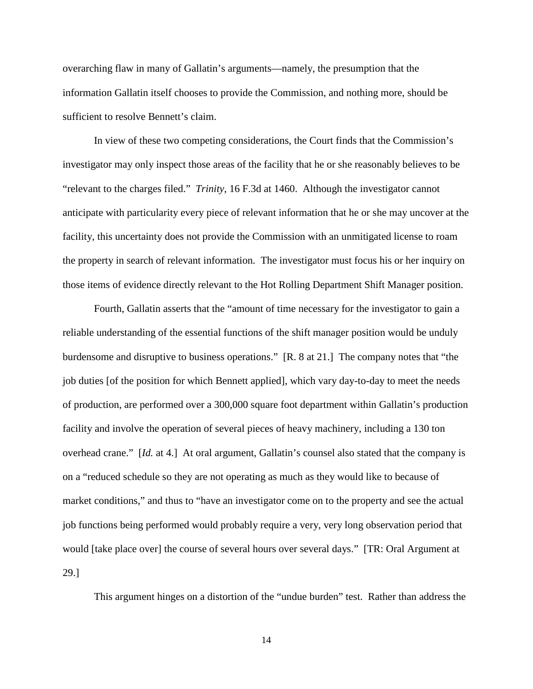overarching flaw in many of Gallatin's arguments—namely, the presumption that the information Gallatin itself chooses to provide the Commission, and nothing more, should be sufficient to resolve Bennett's claim.

 In view of these two competing considerations, the Court finds that the Commission's investigator may only inspect those areas of the facility that he or she reasonably believes to be "relevant to the charges filed." *Trinity*, 16 F.3d at 1460. Although the investigator cannot anticipate with particularity every piece of relevant information that he or she may uncover at the facility, this uncertainty does not provide the Commission with an unmitigated license to roam the property in search of relevant information. The investigator must focus his or her inquiry on those items of evidence directly relevant to the Hot Rolling Department Shift Manager position.

 Fourth, Gallatin asserts that the "amount of time necessary for the investigator to gain a reliable understanding of the essential functions of the shift manager position would be unduly burdensome and disruptive to business operations." [R. 8 at 21.] The company notes that "the job duties [of the position for which Bennett applied], which vary day-to-day to meet the needs of production, are performed over a 300,000 square foot department within Gallatin's production facility and involve the operation of several pieces of heavy machinery, including a 130 ton overhead crane." [*Id.* at 4.] At oral argument, Gallatin's counsel also stated that the company is on a "reduced schedule so they are not operating as much as they would like to because of market conditions," and thus to "have an investigator come on to the property and see the actual job functions being performed would probably require a very, very long observation period that would [take place over] the course of several hours over several days." [TR: Oral Argument at 29.]

This argument hinges on a distortion of the "undue burden" test. Rather than address the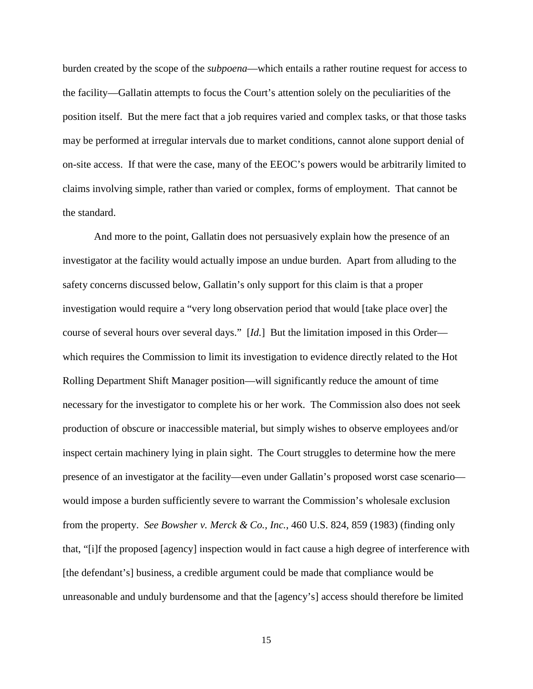burden created by the scope of the *subpoena*—which entails a rather routine request for access to the facility—Gallatin attempts to focus the Court's attention solely on the peculiarities of the position itself. But the mere fact that a job requires varied and complex tasks, or that those tasks may be performed at irregular intervals due to market conditions, cannot alone support denial of on-site access. If that were the case, many of the EEOC's powers would be arbitrarily limited to claims involving simple, rather than varied or complex, forms of employment. That cannot be the standard.

And more to the point, Gallatin does not persuasively explain how the presence of an investigator at the facility would actually impose an undue burden. Apart from alluding to the safety concerns discussed below, Gallatin's only support for this claim is that a proper investigation would require a "very long observation period that would [take place over] the course of several hours over several days." [*Id.*] But the limitation imposed in this Order which requires the Commission to limit its investigation to evidence directly related to the Hot Rolling Department Shift Manager position—will significantly reduce the amount of time necessary for the investigator to complete his or her work. The Commission also does not seek production of obscure or inaccessible material, but simply wishes to observe employees and/or inspect certain machinery lying in plain sight. The Court struggles to determine how the mere presence of an investigator at the facility—even under Gallatin's proposed worst case scenario would impose a burden sufficiently severe to warrant the Commission's wholesale exclusion from the property. *See Bowsher v. Merck & Co., Inc.*, 460 U.S. 824, 859 (1983) (finding only that, "[i]f the proposed [agency] inspection would in fact cause a high degree of interference with [the defendant's] business, a credible argument could be made that compliance would be unreasonable and unduly burdensome and that the [agency's] access should therefore be limited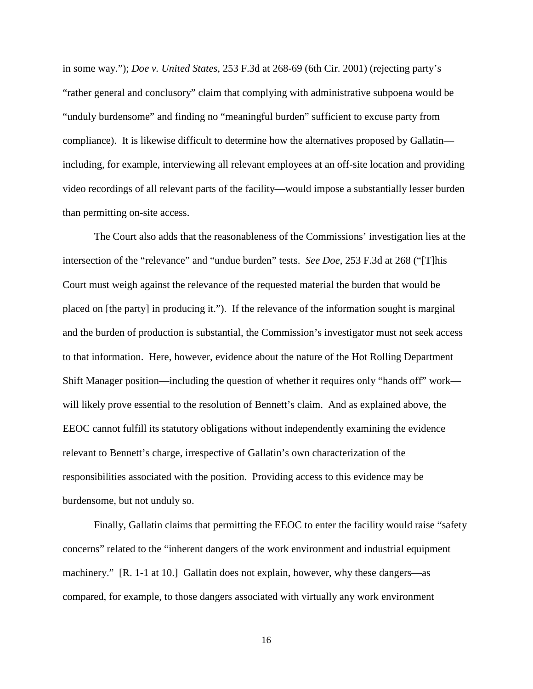in some way."); *Doe v. United States*, 253 F.3d at 268-69 (6th Cir. 2001) (rejecting party's "rather general and conclusory" claim that complying with administrative subpoena would be "unduly burdensome" and finding no "meaningful burden" sufficient to excuse party from compliance). It is likewise difficult to determine how the alternatives proposed by Gallatin including, for example, interviewing all relevant employees at an off-site location and providing video recordings of all relevant parts of the facility—would impose a substantially lesser burden than permitting on-site access.

The Court also adds that the reasonableness of the Commissions' investigation lies at the intersection of the "relevance" and "undue burden" tests. *See Doe*, 253 F.3d at 268 ("[T]his Court must weigh against the relevance of the requested material the burden that would be placed on [the party] in producing it."). If the relevance of the information sought is marginal and the burden of production is substantial, the Commission's investigator must not seek access to that information. Here, however, evidence about the nature of the Hot Rolling Department Shift Manager position—including the question of whether it requires only "hands off" work will likely prove essential to the resolution of Bennett's claim. And as explained above, the EEOC cannot fulfill its statutory obligations without independently examining the evidence relevant to Bennett's charge, irrespective of Gallatin's own characterization of the responsibilities associated with the position. Providing access to this evidence may be burdensome, but not unduly so.

Finally, Gallatin claims that permitting the EEOC to enter the facility would raise "safety concerns" related to the "inherent dangers of the work environment and industrial equipment machinery." [R. 1-1 at 10.] Gallatin does not explain, however, why these dangers—as compared, for example, to those dangers associated with virtually any work environment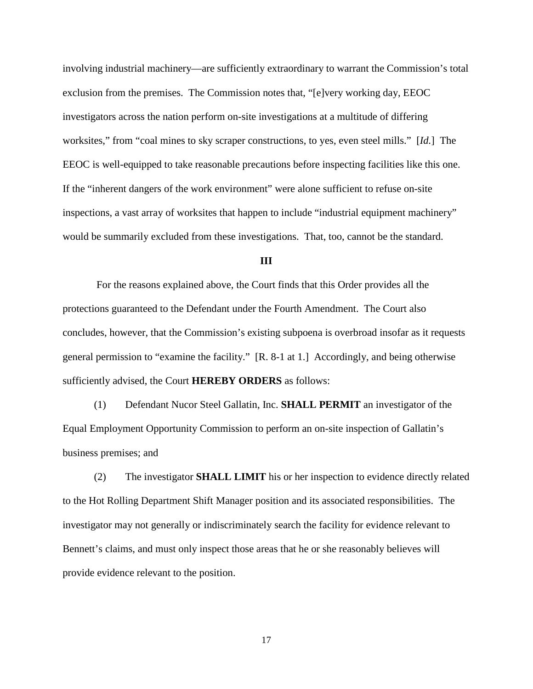involving industrial machinery—are sufficiently extraordinary to warrant the Commission's total exclusion from the premises. The Commission notes that, "[e]very working day, EEOC investigators across the nation perform on-site investigations at a multitude of differing worksites," from "coal mines to sky scraper constructions, to yes, even steel mills." [*Id.*] The EEOC is well-equipped to take reasonable precautions before inspecting facilities like this one. If the "inherent dangers of the work environment" were alone sufficient to refuse on-site inspections, a vast array of worksites that happen to include "industrial equipment machinery" would be summarily excluded from these investigations. That, too, cannot be the standard.

### **III**

 For the reasons explained above, the Court finds that this Order provides all the protections guaranteed to the Defendant under the Fourth Amendment. The Court also concludes, however, that the Commission's existing subpoena is overbroad insofar as it requests general permission to "examine the facility." [R. 8-1 at 1.] Accordingly, and being otherwise sufficiently advised, the Court **HEREBY ORDERS** as follows:

(1) Defendant Nucor Steel Gallatin, Inc. **SHALL PERMIT** an investigator of the Equal Employment Opportunity Commission to perform an on-site inspection of Gallatin's business premises; and

(2) The investigator **SHALL LIMIT** his or her inspection to evidence directly related to the Hot Rolling Department Shift Manager position and its associated responsibilities. The investigator may not generally or indiscriminately search the facility for evidence relevant to Bennett's claims, and must only inspect those areas that he or she reasonably believes will provide evidence relevant to the position.